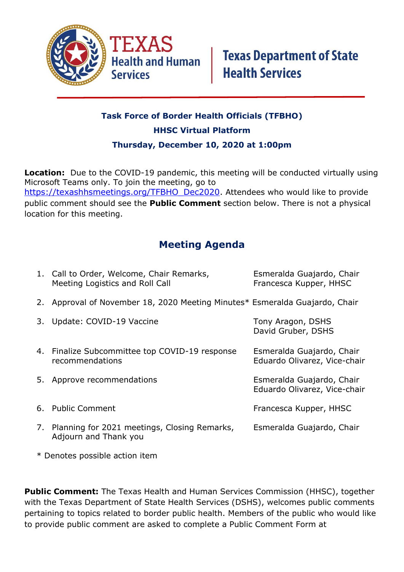

## **Task Force of Border Health Officials (TFBHO) HHSC Virtual Platform Thursday, December 10, 2020 at 1:00pm**

**Location:** Due to the COVID-19 pandemic, this meeting will be conducted virtually using Microsoft Teams only. To join the meeting, go to [https://texashhsmeetings.org/TFBHO\\_Dec2020.](https://texashhsmeetings.org/TFBHO_Dec2020) Attendees who would like to provide public comment should see the **Public Comment** section below. There is not a physical location for this meeting.

## **Meeting Agenda**

| 1. Call to Order, Welcome, Chair Remarks,<br>Meeting Logistics and Roll Call | Esmeralda Guajardo, Chair<br>Francesca Kupper, HHSC       |
|------------------------------------------------------------------------------|-----------------------------------------------------------|
| 2. Approval of November 18, 2020 Meeting Minutes* Esmeralda Guajardo, Chair  |                                                           |
| 3. Update: COVID-19 Vaccine                                                  | Tony Aragon, DSHS<br>David Gruber, DSHS                   |
| 4. Finalize Subcommittee top COVID-19 response<br>recommendations            | Esmeralda Guajardo, Chair<br>Eduardo Olivarez, Vice-chair |
| 5. Approve recommendations                                                   | Esmeralda Guajardo, Chair<br>Eduardo Olivarez, Vice-chair |
| 6. Public Comment                                                            | Francesca Kupper, HHSC                                    |
| 7. Planning for 2021 meetings, Closing Remarks,<br>Adjourn and Thank you     | Esmeralda Guajardo, Chair                                 |

\* Denotes possible action item

**Public Comment:** The Texas Health and Human Services Commission (HHSC), together with the Texas Department of State Health Services (DSHS), welcomes public comments pertaining to topics related to border public health. Members of the public who would like to provide public comment are asked to complete a Public Comment Form at